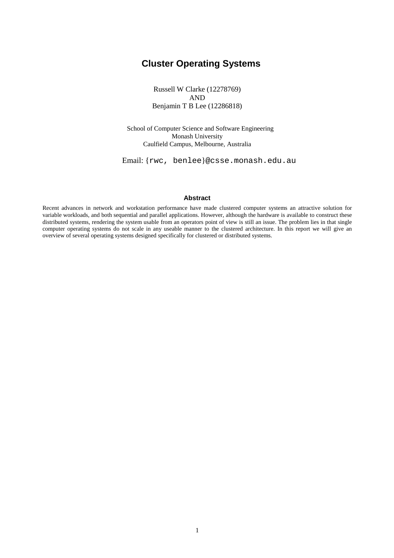# **Cluster Operating Systems**

Russell W Clarke (12278769) AND Benjamin T B Lee (12286818)

School of Computer Science and Software Engineering Monash University Caulfield Campus, Melbourne, Australia

Email: {rwc, benlee}@csse.monash.edu.au

#### **Abstract**

Recent advances in network and workstation performance have made clustered computer systems an attractive solution for variable workloads, and both sequential and parallel applications. However, although the hardware is available to construct these distributed systems, rendering the system usable from an operators point of view is still an issue. The problem lies in that single computer operating systems do not scale in any useable manner to the clustered architecture. In this report we will give an overview of several operating systems designed specifically for clustered or distributed systems.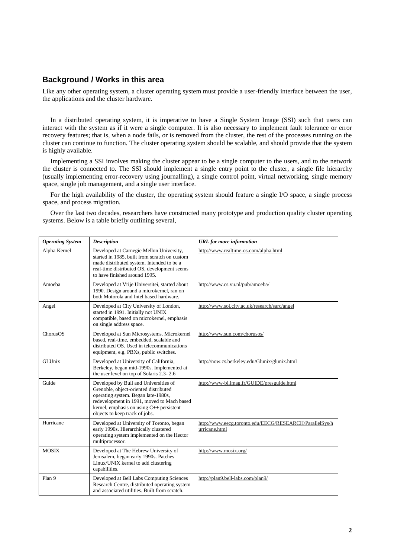### **Background / Works in this area**

Like any other operating system, a cluster operating system must provide a user-friendly interface between the user, the applications and the cluster hardware.

In a distributed operating system, it is imperative to have a Single System Image (SSI) such that users can interact with the system as if it were a single computer. It is also necessary to implement fault tolerance or error recovery features; that is, when a node fails, or is removed from the cluster, the rest of the processes running on the cluster can continue to function. The cluster operating system should be scalable, and should provide that the system is highly available.

Implementing a SSI involves making the cluster appear to be a single computer to the users, and to the network the cluster is connected to. The SSI should implement a single entry point to the cluster, a single file hierarchy (usually implementing error-recovery using journalling), a single control point, virtual networking, single memory space, single job management, and a single user interface.

For the high availability of the cluster, the operating system should feature a single I/O space, a single process space, and process migration.

Over the last two decades, researchers have constructed many prototype and production quality cluster operating systems. Below is a table briefly outlining several,

| <b>Operating System</b> | <b>Description</b>                                                                                                                                                                                                                                     | <b>URL</b> for more information                                          |
|-------------------------|--------------------------------------------------------------------------------------------------------------------------------------------------------------------------------------------------------------------------------------------------------|--------------------------------------------------------------------------|
| Alpha Kernel            | Developed at Carnegie Mellon University,<br>started in 1985, built from scratch on custom<br>made distributed system. Intended to be a<br>real-time distributed OS, development seems<br>to have finished around 1995.                                 | http://www.realtime-os.com/alpha.html                                    |
| Amoeba                  | Developed at Vrije Universitei, started about<br>1990. Design around a microkernel, ran on<br>both Motorola and Intel based hardware.                                                                                                                  | http://www.cs.vu.nl/pub/amoeba/                                          |
| Angel                   | Developed at City University of London,<br>started in 1991. Initially not UNIX<br>compatible, based on microkernel, emphasis<br>on single address space.                                                                                               | http://www.soi.city.ac.uk/research/sarc/angel                            |
| ChorusOS                | Developed at Sun Microsystems. Microkernel<br>based, real-time, embedded, scalable and<br>distributed OS. Used in telecommunications<br>equipment, e.g. PBXs, public switches.                                                                         | http://www.sun.com/chorusos/                                             |
| GLUnix                  | Developed at University of California,<br>Berkeley, began mid-1990s. Implemented at<br>the user level on top of Solaris 2.3-2.6                                                                                                                        | http://now.cs.berkeley.edu/Glunix/glunix.html                            |
| Guide                   | Developed by Bull and Universities of<br>Grenoble, object-oriented distributed<br>operating system. Began late-1980s,<br>redevelopment in 1991, moved to Mach based<br>kernel, emphasis on using $C_{++}$ persistent<br>objects to keep track of jobs. | http://www-bi.imag.fr/GUIDE/presguide.html                               |
| Hurricane               | Developed at University of Toronto, began<br>early 1990s. Hierarchically clustered<br>operating system implemented on the Hector<br>multiprocessor.                                                                                                    | http://www.eecg.toronto.edu/EECG/RESEARCH/ParallelSys/h<br>urricane.html |
| <b>MOSIX</b>            | Developed at The Hebrew University of<br>Jerusalem, began early 1990s. Patches<br>Linux/UNIX kernel to add clustering<br>capabilities.                                                                                                                 | http://www.mosix.org/                                                    |
| Plan 9                  | Developed at Bell Labs Computing Sciences<br>Research Centre, distributed operating system<br>and associated utilities. Built from scratch.                                                                                                            | http://plan9.bell-labs.com/plan9/                                        |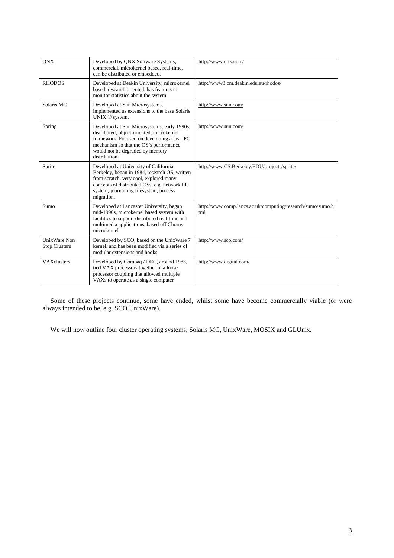| <b>QNX</b>                                  | Developed by QNX Software Systems,<br>commercial, microkernel based, real-time,<br>can be distributed or embedded.                                                                                                                           | http://www.qnx.com/                                               |
|---------------------------------------------|----------------------------------------------------------------------------------------------------------------------------------------------------------------------------------------------------------------------------------------------|-------------------------------------------------------------------|
| <b>RHODOS</b>                               | Developed at Deakin University, microkernel<br>based, research oriented, has features to<br>monitor statistics about the system.                                                                                                             | http://www3.cm.deakin.edu.au/rhodos/                              |
| Solaris MC                                  | Developed at Sun Microsystems,<br>implemented as extensions to the base Solaris<br>UNIX ® system.                                                                                                                                            | http://www.sun.com/                                               |
| Spring                                      | Developed at Sun Microsystems, early 1990s,<br>distributed, object-oriented, microkernel<br>framework. Focused on developing a fast IPC<br>mechanism so that the OS's performance<br>would not be degraded by memory<br>distribution.        | http://www.sun.com/                                               |
| Sprite                                      | Developed at University of California,<br>Berkeley, began in 1984, research OS, written<br>from scratch, very cool, explored many<br>concepts of distributed OSs, e.g. network file<br>system, journalling filesystem, process<br>migration. | http://www.CS.Berkeley.EDU/projects/sprite/                       |
| Sumo                                        | Developed at Lancaster University, began<br>mid-1990s, microkernel based system with<br>facilities to support distributed real-time and<br>multimedia applications, based off Chorus<br>microkernel                                          | http://www.comp.lancs.ac.uk/computing/research/sumo/sumo.h<br>tml |
| <b>UnixWare Non</b><br><b>Stop Clusters</b> | Developed by SCO, based on the UnixWare 7<br>kernel, and has been modified via a series of<br>modular extensions and hooks                                                                                                                   | http://www.sco.com/                                               |
| <b>VAX</b> clusters                         | Developed by Compaq / DEC, around 1983,<br>tied VAX processors together in a loose<br>processor coupling that allowed multiple<br>VAXs to operate as a single computer                                                                       | http://www.digital.com/                                           |

Some of these projects continue, some have ended, whilst some have become commercially viable (or were always intended to be, e.g. SCO UnixWare).

We will now outline four cluster operating systems, Solaris MC, UnixWare, MOSIX and GLUnix.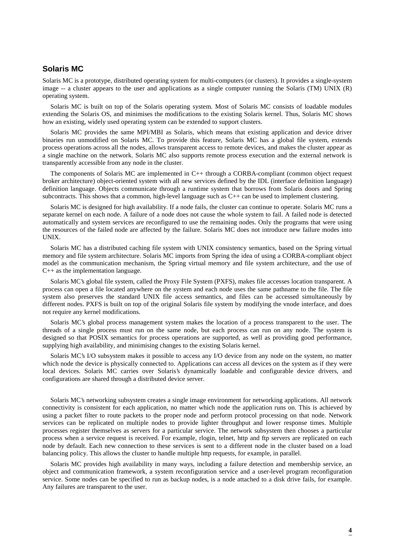### **Solaris MC**

Solaris MC is a prototype, distributed operating system for multi-computers (or clusters). It provides a single-system image -- a cluster appears to the user and applications as a single computer running the Solaris (TM) UNIX (R) operating system.

Solaris MC is built on top of the Solaris operating system. Most of Solaris MC consists of loadable modules extending the Solaris OS, and minimises the modifications to the existing Solaris kernel. Thus, Solaris MC shows how an existing, widely used operating system can be extended to support clusters.

Solaris MC provides the same MPI/MBI as Solaris, which means that existing application and device driver binaries run unmodified on Solaris MC. To provide this feature, Solaris MC has a global file system, extends process operations across all the nodes, allows transparent access to remote devices, and makes the cluster appear as a single machine on the network. Solaris MC also supports remote process execution and the external network is transparently accessible from any node in the cluster.

The components of Solaris MC are implemented in C++ through a CORBA-compliant (common object request broker architecture) object-oriented system with all new services defined by the IDL (interface definition language) definition language. Objects communicate through a runtime system that borrows from Solaris doors and Spring subcontracts. This shows that a common, high-level language such as C++ can be used to implement clustering.

Solaris MC is designed for high availability. If a node fails, the cluster can continue to operate. Solaris MC runs a separate kernel on each node. A failure of a node does not cause the whole system to fail. A failed node is detected automatically and system services are reconfigured to use the remaining nodes. Only the programs that were using the resources of the failed node are affected by the failure. Solaris MC does not introduce new failure modes into UNIX.

Solaris MC has a distributed caching file system with UNIX consistency semantics, based on the Spring virtual memory and file system architecture. Solaris MC imports from Spring the idea of using a CORBA-compliant object model as the communication mechanism, the Spring virtual memory and file system architecture, and the use of C++ as the implementation language.

Solaris MC's global file system, called the Proxy File System (PXFS), makes file accesses location transparent. A process can open a file located anywhere on the system and each node uses the same pathname to the file. The file system also preserves the standard UNIX file access semantics, and files can be accessed simultaneously by different nodes. PXFS is built on top of the original Solaris file system by modifying the vnode interface, and does not require any kernel modifications.

Solaris MC's global process management system makes the location of a process transparent to the user. The threads of a single process must run on the same node, but each process can run on any node. The system is designed so that POSIX semantics for process operations are supported, as well as providing good performance, supplying high availability, and minimising changes to the existing Solaris kernel.

Solaris MC's I/O subsystem makes it possible to access any I/O device from any node on the system, no matter which node the device is physically connected to. Applications can access all devices on the system as if they were local devices. Solaris MC carries over Solaris's dynamically loadable and configurable device drivers, and configurations are shared through a distributed device server.

Solaris MC's networking subsystem creates a single image environment for networking applications. All network connectivity is consistent for each application, no matter which node the application runs on. This is achieved by using a packet filter to route packets to the proper node and perform protocol processing on that node. Network services can be replicated on multiple nodes to provide lighter throughput and lower response times. Multiple processes register themselves as servers for a particular service. The network subsystem then chooses a particular process when a service request is received. For example, rlogin, telnet, http and ftp servers are replicated on each node by default. Each new connection to these services is sent to a different node in the cluster based on a load balancing policy. This allows the cluster to handle multiple http requests, for example, in parallel.

Solaris MC provides high availability in many ways, including a failure detection and membership service, an object and communication framework, a system reconfiguration service and a user-level program reconfiguration service. Some nodes can be specified to run as backup nodes, is a node attached to a disk drive fails, for example. Any failures are transparent to the user.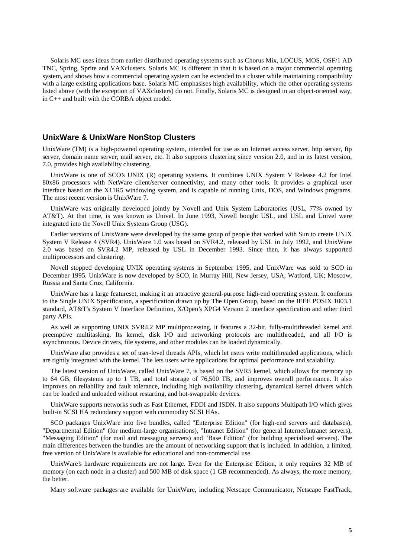Solaris MC uses ideas from earlier distributed operating systems such as Chorus Mix, LOCUS, MOS, OSF/1 AD TNC, Spring, Sprite and VAXclusters. Solaris MC is different in that it is based on a major commercial operating system, and shows how a commercial operating system can be extended to a cluster while maintaining compatibility with a large existing applications base. Solaris MC emphasises high availability, which the other operating systems listed above (with the exception of VAXclusters) do not. Finally, Solaris MC is designed in an object-oriented way, in C++ and built with the CORBA object model.

#### **UnixWare & UnixWare NonStop Clusters**

UnixWare (TM) is a high-powered operating system, intended for use as an Internet access server, http server, ftp server, domain name server, mail server, etc. It also supports clustering since version 2.0, and in its latest version, 7.0, provides high availability clustering.

UnixWare is one of SCO's UNIX (R) operating systems. It combines UNIX System V Release 4.2 for Intel 80x86 processors with NetWare client/server connectivity, and many other tools. It provides a graphical user interface based on the X11R5 windowing system, and is capable of running Unix, DOS, and Windows programs. The most recent version is UnixWare 7.

UnixWare was originally developed jointly by Novell and Unix System Laboratories (USL, 77% owned by AT&T). At that time, is was known as Univel. In June 1993, Novell bought USL, and USL and Univel were integrated into the Novell Unix Systems Group (USG).

Earlier versions of UnixWare were developed by the same group of people that worked with Sun to create UNIX System V Release 4 (SVR4). UnixWare 1.0 was based on SVR4.2, released by USL in July 1992, and UnixWare 2.0 was based on SVR4.2 MP, released by USL in December 1993. Since then, it has always supported multiprocessors and clustering.

Novell stopped developing UNIX operating systems in September 1995, and UnixWare was sold to SCO in December 1995. UnixWare is now developed by SCO, in Murray Hill, New Jersey, USA; Watford, UK; Moscow, Russia and Santa Cruz, California.

UnixWare has a large featureset, making it an attractive general-purpose high-end operating system. It conforms to the Single UNIX Specification, a specification drawn up by The Open Group, based on the IEEE POSIX 1003.1 standard, AT&T's System V Interface Definition, X/Open's XPG4 Version 2 interface specification and other third party APIs.

As well as supporting UNIX SVR4.2 MP multiprocessing, it features a 32-bit, fully-multithreaded kernel and preemptive multitasking. Its kernel, disk I/O and networking protocols are multithreaded, and all I/O is asynchronous. Device drivers, file systems, and other modules can be loaded dynamically.

UnixWare also provides a set of user-level threads APIs, which let users write multithreaded applications, which are tightly integrated with the kernel. The lets users write applications for optimal performance and scalability.

The latest version of UnixWare, called UnixWare 7, is based on the SVR5 kernel, which allows for memory up to 64 GB, filesystems up to 1 TB, and total storage of 76,500 TB, and improves overall performance. It also improves on reliability and fault tolerance, including high availability clustering, dynamical kernel drivers which can be loaded and unloaded without restarting, and hot-swappable devices.

UnixWare supports networks such as Fast Ethernet, FDDI and ISDN. It also supports Multipath I/O which gives built-in SCSI HA redundancy support with commodity SCSI HAs.

SCO packages UnixWare into five bundles, called "Enterprise Edition" (for high-end servers and databases), "Departmental Edition" (for medium-large organisations), "Intranet Edition" (for general Internet/intranet servers), "Messaging Edition" (for mail and messaging servers) and "Base Edition" (for building specialised servers). The main differences between the bundles are the amount of networking support that is included. In addition, a limited, free version of UnixWare is available for educational and non-commercial use.

UnixWare's hardware requirements are not large. Even for the Enterprise Edition, it only requires 32 MB of memory (on each node in a cluster) and 500 MB of disk space (1 GB recommended). As always, the more memory, the better.

Many software packages are available for UnixWare, including Netscape Communicator, Netscape FastTrack,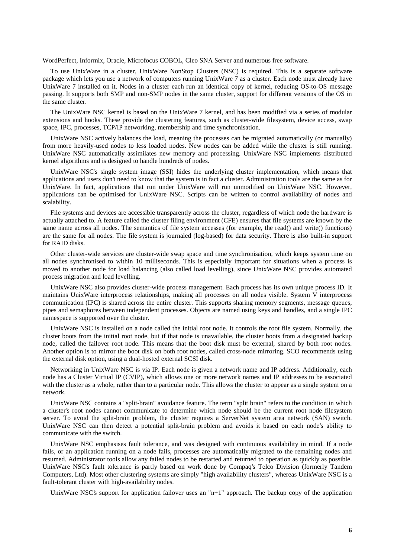WordPerfect, Informix, Oracle, Microfocus COBOL, Cleo SNA Server and numerous free software.

To use UnixWare in a cluster, UnixWare NonStop Clusters (NSC) is required. This is a separate software package which lets you use a network of computers running UnixWare 7 as a cluster. Each node must already have UnixWare 7 installed on it. Nodes in a cluster each run an identical copy of kernel, reducing OS-to-OS message passing. It supports both SMP and non-SMP nodes in the same cluster, support for different versions of the OS in the same cluster.

The UnixWare NSC kernel is based on the UnixWare 7 kernel, and has been modified via a series of modular extensions and hooks. These provide the clustering features, such as cluster-wide filesystem, device access, swap space, IPC, processes, TCP/IP networking, membership and time synchronisation.

UnixWare NSC actively balances the load, meaning the processes can be migrated automatically (or manually) from more heavily-used nodes to less loaded nodes. New nodes can be added while the cluster is still running. UnixWare NSC automatically assimilates new memory and processing. UnixWare NSC implements distributed kernel algorithms and is designed to handle hundreds of nodes.

UnixWare NSC's single system image (SSI) hides the underlying cluster implementation, which means that applications and users don't need to know that the system is in fact a cluster. Administration tools are the same as for UnixWare. In fact, applications that run under UnixWare will run unmodified on UnixWare NSC. However, applications can be optimised for UnixWare NSC. Scripts can be written to control availability of nodes and scalability.

File systems and devices are accessible transparently across the cluster, regardless of which node the hardware is actually attached to. A feature called the cluster filing environment (CFE) ensures that file systems are known by the same name across all nodes. The semantics of file system accesses (for example, the read() and write() functions) are the same for all nodes. The file system is journaled (log-based) for data security. There is also built-in support for RAID disks.

Other cluster-wide services are cluster-wide swap space and time synchronisation, which keeps system time on all nodes synchronised to within 10 milliseconds. This is especially important for situations when a process is moved to another node for load balancing (also called load levelling), since UnixWare NSC provides automated process migration and load levelling.

UnixWare NSC also provides cluster-wide process management. Each process has its own unique process ID. It maintains UnixWare interprocess relationships, making all processes on all nodes visible. System V interprocess communication (IPC) is shared across the entire cluster. This supports sharing memory segments, message queues, pipes and semaphores between independent processes. Objects are named using keys and handles, and a single IPC namespace is supported over the cluster.

UnixWare NSC is installed on a node called the initial root node. It controls the root file system. Normally, the cluster boots from the initial root node, but if that node is unavailable, the cluster boots from a designated backup node, called the failover root node. This means that the boot disk must be external, shared by both root nodes. Another option is to mirror the boot disk on both root nodes, called cross-node mirroring. SCO recommends using the external disk option, using a dual-hosted external SCSI disk.

Networking in UnixWare NSC is via IP. Each node is given a network name and IP address. Additionally, each node has a Cluster Virtual IP (CVIP), which allows one or more network names and IP addresses to be associated with the cluster as a whole, rather than to a particular node. This allows the cluster to appear as a single system on a network.

UnixWare NSC contains a "split-brain" avoidance feature. The term "split brain" refers to the condition in which a cluster's root nodes cannot communicate to determine which node should be the current root node filesystem server. To avoid the split-brain problem, the cluster requires a ServerNet system area network (SAN) switch. UnixWare NSC can then detect a potential split-brain problem and avoids it based on each node's ability to communicate with the switch.

UnixWare NSC emphasises fault tolerance, and was designed with continuous availability in mind. If a node fails, or an application running on a node fails, processes are automatically migrated to the remaining nodes and resumed. Administrator tools allow any failed nodes to be restarted and returned to operation as quickly as possible. UnixWare NSC's fault tolerance is partly based on work done by Compaq's Telco Division (formerly Tandem Computers, Ltd). Most other clustering systems are simply "high availability clusters", whereas UnixWare NSC is a fault-tolerant cluster with high-availability nodes.

UnixWare NSC's support for application failover uses an " $n+1$ " approach. The backup copy of the application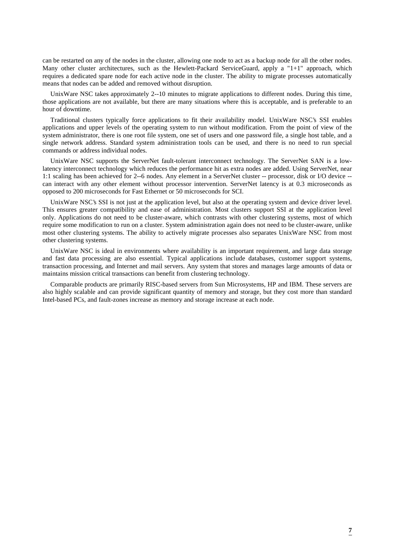can be restarted on any of the nodes in the cluster, allowing one node to act as a backup node for all the other nodes. Many other cluster architectures, such as the Hewlett-Packard ServiceGuard, apply a "1+1" approach, which requires a dedicated spare node for each active node in the cluster. The ability to migrate processes automatically means that nodes can be added and removed without disruption.

UnixWare NSC takes approximately 2--10 minutes to migrate applications to different nodes. During this time, those applications are not available, but there are many situations where this is acceptable, and is preferable to an hour of downtime.

Traditional clusters typically force applications to fit their availability model. UnixWare NSC's SSI enables applications and upper levels of the operating system to run without modification. From the point of view of the system administrator, there is one root file system, one set of users and one password file, a single host table, and a single network address. Standard system administration tools can be used, and there is no need to run special commands or address individual nodes.

UnixWare NSC supports the ServerNet fault-tolerant interconnect technology. The ServerNet SAN is a lowlatency interconnect technology which reduces the performance hit as extra nodes are added. Using ServerNet, near 1:1 scaling has been achieved for 2--6 nodes. Any element in a ServerNet cluster -- processor, disk or I/O device - can interact with any other element without processor intervention. ServerNet latency is at 0.3 microseconds as opposed to 200 microseconds for Fast Ethernet or 50 microseconds for SCI.

UnixWare NSC's SSI is not just at the application level, but also at the operating system and device driver level. This ensures greater compatibility and ease of administration. Most clusters support SSI at the application level only. Applications do not need to be cluster-aware, which contrasts with other clustering systems, most of which require some modification to run on a cluster. System administration again does not need to be cluster-aware, unlike most other clustering systems. The ability to actively migrate processes also separates UnixWare NSC from most other clustering systems.

UnixWare NSC is ideal in environments where availability is an important requirement, and large data storage and fast data processing are also essential. Typical applications include databases, customer support systems, transaction processing, and Internet and mail servers. Any system that stores and manages large amounts of data or maintains mission critical transactions can benefit from clustering technology.

Comparable products are primarily RISC-based servers from Sun Microsystems, HP and IBM. These servers are also highly scalable and can provide significant quantity of memory and storage, but they cost more than standard Intel-based PCs, and fault-zones increase as memory and storage increase at each node.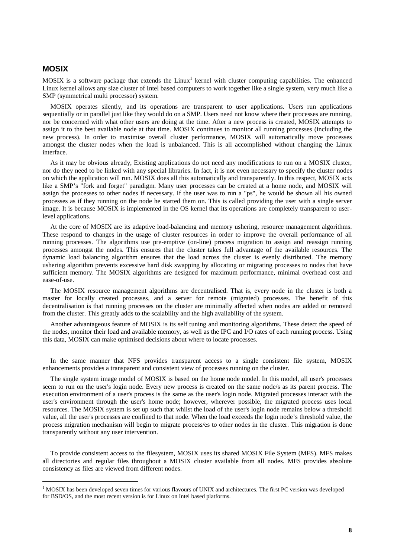### **MOSIX**

MOSIX is a software package that extends the  $Linux^1$  kernel with cluster computing capabilities. The enhanced Linux kernel allows any size cluster of Intel based computers to work together like a single system, very much like a SMP (symmetrical multi processor) system.

MOSIX operates silently, and its operations are transparent to user applications. Users run applications sequentially or in parallel just like they would do on a SMP. Users need not know where their processes are running, nor be concerned with what other users are doing at the time. After a new process is created, MOSIX attempts to assign it to the best available node at that time. MOSIX continues to monitor all running processes (including the new process). In order to maximise overall cluster performance, MOSIX will automatically move processes amongst the cluster nodes when the load is unbalanced. This is all accomplished without changing the Linux interface.

As it may be obvious already, Existing applications do not need any modifications to run on a MOSIX cluster, nor do they need to be linked with any special libraries. In fact, it is not even necessary to specify the cluster nodes on which the application will run. MOSIX does all this automatically and transparently. In this respect, MOSIX acts like a SMP's "fork and forget" paradigm. Many user processes can be created at a home node, and MOSIX will assign the processes to other nodes if necessary. If the user was to run a "ps", he would be shown all his owned processes as if they running on the node he started them on. This is called providing the user with a single server image. It is because MOSIX is implemented in the OS kernel that its operations are completely transparent to userlevel applications.

At the core of MOSIX are its adaptive load-balancing and memory ushering, resource management algorithms. These respond to changes in the usage of cluster resources in order to improve the overall performance of all running processes. The algorithms use pre-emptive (on-line) process migration to assign and reassign running processes amongst the nodes. This ensures that the cluster takes full advantage of the available resources. The dynamic load balancing algorithm ensures that the load across the cluster is evenly distributed. The memory ushering algorithm prevents excessive hard disk swapping by allocating or migrating processes to nodes that have sufficient memory. The MOSIX algorithms are designed for maximum performance, minimal overhead cost and ease-of-use.

The MOSIX resource management algorithms are decentralised. That is, every node in the cluster is both a master for locally created processes, and a server for remote (migrated) processes. The benefit of this decentralisation is that running processes on the cluster are minimally affected when nodes are added or removed from the cluster. This greatly adds to the scalability and the high availability of the system.

Another advantageous feature of MOSIX is its self tuning and monitoring algorithms. These detect the speed of the nodes, monitor their load and available memory, as well as the IPC and I/O rates of each running process. Using this data, MOSIX can make optimised decisions about where to locate processes.

In the same manner that NFS provides transparent access to a single consistent file system, MOSIX enhancements provides a transparent and consistent view of processes running on the cluster.

The single system image model of MOSIX is based on the home node model. In this model, all user's processes seem to run on the user's login node. Every new process is created on the same node/s as its parent process. The execution environment of a user's process is the same as the user's login node. Migrated processes interact with the user's environment through the user's home node; however, wherever possible, the migrated process uses local resources. The MOSIX system is set up such that whilst the load of the user's login node remains below a threshold value, all the user's processes are confined to that node. When the load exceeds the login node's threshold value, the process migration mechanism will begin to migrate process/es to other nodes in the cluster. This migration is done transparently without any user intervention.

To provide consistent access to the filesystem, MOSIX uses its shared MOSIX File System (MFS). MFS makes all directories and regular files throughout a MOSIX cluster available from all nodes. MFS provides absolute consistency as files are viewed from different nodes.

 $\frac{1}{1}$  $1$  MOSIX has been developed seven times for various flavours of UNIX and architectures. The first PC version was developed for BSD/OS, and the most recent version is for Linux on Intel based platforms.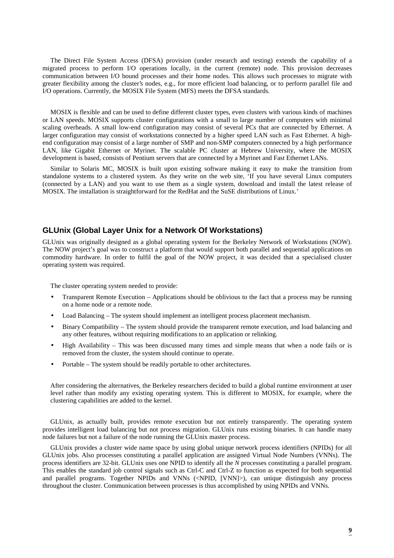The Direct File System Access (DFSA) provision (under research and testing) extends the capability of a migrated process to perform I/O operations locally, in the current (remote) node. This provision decreases communication between I/O bound processes and their home nodes. This allows such processes to migrate with greater flexibility among the cluster's nodes, e.g., for more efficient load balancing, or to perform parallel file and I/O operations. Currently, the MOSIX File System (MFS) meets the DFSA standards.

MOSIX is flexible and can be used to define different cluster types, even clusters with various kinds of machines or LAN speeds. MOSIX supports cluster configurations with a small to large number of computers with minimal scaling overheads. A small low-end configuration may consist of several PCs that are connected by Ethernet. A larger configuration may consist of workstations connected by a higher speed LAN such as Fast Ethernet. A highend configuration may consist of a large number of SMP and non-SMP computers connected by a high performance LAN, like Gigabit Ethernet or Myrinet. The scalable PC cluster at Hebrew University, where the MOSIX development is based, consists of Pentium servers that are connected by a Myrinet and Fast Ethernet LANs.

Similar to Solaris MC, MOSIX is built upon existing software making it easy to make the transition from standalone systems to a clustered system. As they write on the web site, 'If you have several Linux computers (connected by a LAN) and you want to use them as a single system, download and install the latest release of MOSIX. The installation is straightforward for the RedHat and the SuSE distributions of Linux.'

### **GLUnix (Global Layer Unix for a Network Of Workstations)**

GLUnix was originally designed as a global operating system for the Berkeley Network of Workstations (NOW). The NOW project's goal was to construct a platform that would support both parallel and sequential applications on commodity hardware. In order to fulfil the goal of the NOW project, it was decided that a specialised cluster operating system was required.

The cluster operating system needed to provide:

- Transparent Remote Execution Applications should be oblivious to the fact that a process may be running on a home node or a remote node.
- Load Balancing The system should implement an intelligent process placement mechanism.
- Binary Compatibility The system should provide the transparent remote execution, and load balancing and any other features, without requiring modifications to an application or relinking.
- High Availability This was been discussed many times and simple means that when a node fails or is removed from the cluster, the system should continue to operate.
- Portable The system should be readily portable to other architectures.

After considering the alternatives, the Berkeley researchers decided to build a global runtime environment at user level rather than modify any existing operating system. This is different to MOSIX, for example, where the clustering capabilities are added to the kernel.

GLUnix, as actually built, provides remote execution but not entirely transparently. The operating system provides intelligent load balancing but not process migration. GLUnix runs existing binaries. It can handle many node failures but not a failure of the node running the GLUnix master process.

GLUnix provides a cluster wide name space by using global unique network process identifiers (NPIDs) for all GLUnix jobs. Also processes constituting a parallel application are assigned Virtual Node Numbers (VNNs). The process identifiers are 32-bit. GLUnix uses one NPID to identify all the *N* processes constituting a parallel program. This enables the standard job control signals such as Ctrl-C and Ctrl-Z to function as expected for both sequential and parallel programs. Together NPIDs and VNNs (<NPID, [VNN]>), can unique distinguish any process throughout the cluster. Communication between processes is thus accomplished by using NPIDs and VNNs.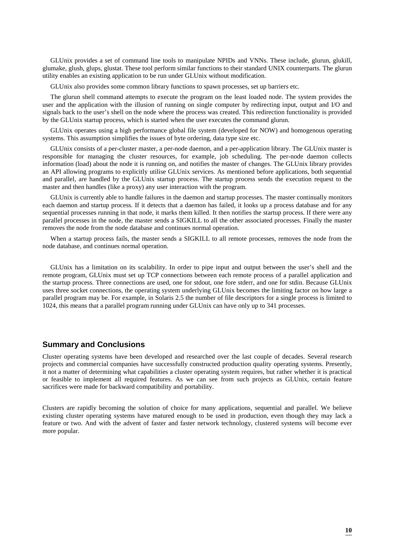GLUnix provides a set of command line tools to manipulate NPIDs and VNNs. These include, glurun, glukill, glumake, glush, glups, glustat. These tool perform similar functions to their standard UNIX counterparts. The glurun utility enables an existing application to be run under GLUnix without modification.

GLUnix also provides some common library functions to spawn processes, set up barriers etc.

The glurun shell command attempts to execute the program on the least loaded node. The system provides the user and the application with the illusion of running on single computer by redirecting input, output and I/O and signals back to the user's shell on the node where the process was created. This redirection functionality is provided by the GLUnix startup process, which is started when the user executes the command glurun.

GLUnix operates using a high performance global file system (developed for NOW) and homogenous operating systems. This assumption simplifies the issues of byte ordering, data type size etc.

GLUnix consists of a per-cluster master, a per-node daemon, and a per-application library. The GLUnix master is responsible for managing the cluster resources, for example, job scheduling. The per-node daemon collects information (load) about the node it is running on, and notifies the master of changes. The GLUnix library provides an API allowing programs to explicitly utilise GLUnix services. As mentioned before applications, both sequential and parallel, are handled by the GLUnix startup process. The startup process sends the execution request to the master and then handles (like a proxy) any user interaction with the program.

GLUnix is currently able to handle failures in the daemon and startup processes. The master continually monitors each daemon and startup process. If it detects that a daemon has failed, it looks up a process database and for any sequential processes running in that node, it marks them killed. It then notifies the startup process. If there were any parallel processes in the node, the master sends a SIGKILL to all the other associated processes. Finally the master removes the node from the node database and continues normal operation.

When a startup process fails, the master sends a SIGKILL to all remote processes, removes the node from the node database, and continues normal operation.

GLUnix has a limitation on its scalability. In order to pipe input and output between the user's shell and the remote program, GLUnix must set up TCP connections between each remote process of a parallel application and the startup process. Three connections are used, one for stdout, one fore stderr, and one for stdin. Because GLUnix uses three socket connections, the operating system underlying GLUnix becomes the limiting factor on how large a parallel program may be. For example, in Solaris 2.5 the number of file descriptors for a single process is limited to 1024, this means that a parallel program running under GLUnix can have only up to 341 processes.

### **Summary and Conclusions**

Cluster operating systems have been developed and researched over the last couple of decades. Several research projects and commercial companies have successfully constructed production quality operating systems. Presently, it not a matter of determining what capabilities a cluster operating system requires, but rather whether it is practical or feasible to implement all required features. As we can see from such projects as GLUnix, certain feature sacrifices were made for backward compatibility and portability.

Clusters are rapidly becoming the solution of choice for many applications, sequential and parallel. We believe existing cluster operating systems have matured enough to be used in production, even though they may lack a feature or two. And with the advent of faster and faster network technology, clustered systems will become ever more popular.